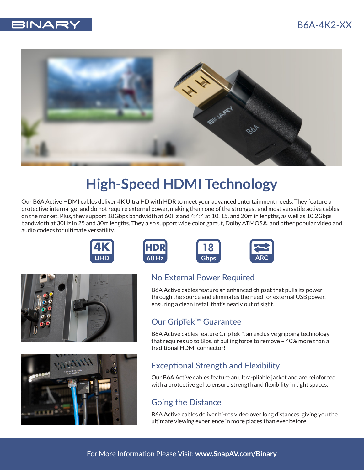



# **High-Speed HDMI Technology**

Our B6A Active HDMI cables deliver 4K Ultra HD with HDR to meet your advanced entertainment needs. They feature a protective internal gel and do not require external power, making them one of the strongest and most versatile active cables on the market. Plus, they support 18Gbps bandwidth at 60Hz and 4:4:4 at 10, 15, and 20m in lengths, as well as 10.2Gbps bandwidth at 30Hz in 25 and 30m lengths. They also support wide color gamut, Dolby ATMOS®, and other popular video and audio codecs for ultimate versatility.













#### No External Power Required

B6A Active cables feature an enhanced chipset that pulls its power through the source and eliminates the need for external USB power, ensuring a clean install that's neatly out of sight.

#### Our GripTek™ Guarantee

B6A Active cables feature GripTek™, an exclusive gripping technology that requires up to 8lbs. of pulling force to remove – 40% more than a traditional HDMI connector!

## Exceptional Strength and Flexibility

Our B6A Active cables feature an ultra-pliable jacket and are reinforced with a protective gel to ensure strength and flexibility in tight spaces.

### Going the Distance

B6A Active cables deliver hi-res video over long distances, giving you the ultimate viewing experience in more places than ever before.